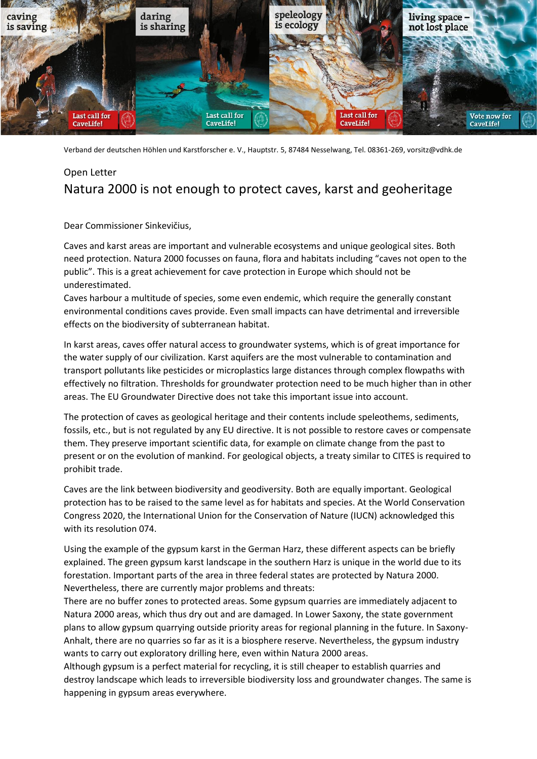

Verband der deutschen Höhlen und Karstforscher e. V., Hauptstr. 5, 87484 Nesselwang, Tel. 08361-269, vorsitz@vdhk.de

## Open Letter Natura 2000 is not enough to protect caves, karst and geoheritage

Dear Commissioner Sinkevičius,

Caves and karst areas are important and vulnerable ecosystems and unique geological sites. Both need protection. Natura 2000 focusses on fauna, flora and habitats including "caves not open to the public". This is a great achievement for cave protection in Europe which should not be underestimated.

Caves harbour a multitude of species, some even endemic, which require the generally constant environmental conditions caves provide. Even small impacts can have detrimental and irreversible effects on the biodiversity of subterranean habitat.

In karst areas, caves offer natural access to groundwater systems, which is of great importance for the water supply of our civilization. Karst aquifers are the most vulnerable to contamination and transport pollutants like pesticides or microplastics large distances through complex flowpaths with effectively no filtration. Thresholds for groundwater protection need to be much higher than in other areas. The EU Groundwater Directive does not take this important issue into account.

The protection of caves as geological heritage and their contents include speleothems, sediments, fossils, etc., but is not regulated by any EU directive. It is not possible to restore caves or compensate them. They preserve important scientific data, for example on climate change from the past to present or on the evolution of mankind. For geological objects, a treaty similar to CITES is required to prohibit trade.

Caves are the link between biodiversity and geodiversity. Both are equally important. Geological protection has to be raised to the same level as for habitats and species. At the World Conservation Congress 2020, the International Union for the Conservation of Nature (IUCN) acknowledged this with its resolution 074.

Using the example of the gypsum karst in the German Harz, these different aspects can be briefly explained. The green gypsum karst landscape in the southern Harz is unique in the world due to its forestation. Important parts of the area in three federal states are protected by Natura 2000. Nevertheless, there are currently major problems and threats:

There are no buffer zones to protected areas. Some gypsum quarries are immediately adjacent to Natura 2000 areas, which thus dry out and are damaged. In Lower Saxony, the state government plans to allow gypsum quarrying outside priority areas for regional planning in the future. In Saxony-Anhalt, there are no quarries so far as it is a biosphere reserve. Nevertheless, the gypsum industry wants to carry out exploratory drilling here, even within Natura 2000 areas.

Although gypsum is a perfect material for recycling, it is still cheaper to establish quarries and destroy landscape which leads to irreversible biodiversity loss and groundwater changes. The same is happening in gypsum areas everywhere.